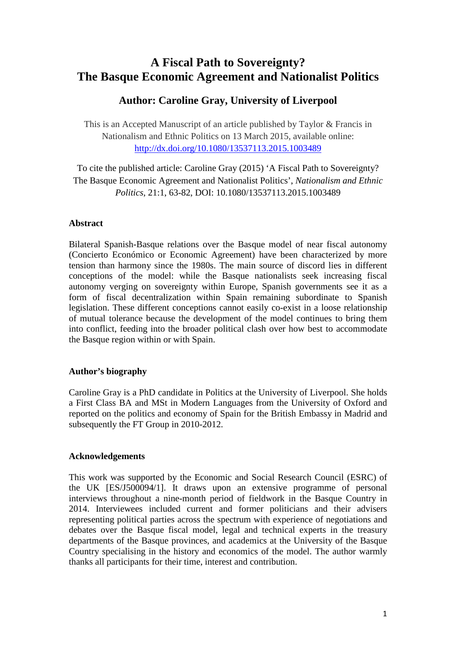# **A Fiscal Path to Sovereignty? The Basque Economic Agreement and Nationalist Politics**

## **Author: Caroline Gray, University of Liverpool**

This is an Accepted Manuscript of an article published by Taylor & Francis in Nationalism and Ethnic Politics on 13 March 2015, available online: <http://dx.doi.org/10.1080/13537113.2015.1003489>

To cite the published article: Caroline Gray (2015) 'A Fiscal Path to Sovereignty? The Basque Economic Agreement and Nationalist Politics', *Nationalism and Ethnic Politics*, 21:1, 63-82, DOI: 10.1080/13537113.2015.1003489

## **Abstract**

Bilateral Spanish-Basque relations over the Basque model of near fiscal autonomy (Concierto Económico or Economic Agreement) have been characterized by more tension than harmony since the 1980s. The main source of discord lies in different conceptions of the model: while the Basque nationalists seek increasing fiscal autonomy verging on sovereignty within Europe, Spanish governments see it as a form of fiscal decentralization within Spain remaining subordinate to Spanish legislation. These different conceptions cannot easily co-exist in a loose relationship of mutual tolerance because the development of the model continues to bring them into conflict, feeding into the broader political clash over how best to accommodate the Basque region within or with Spain.

## **Author's biography**

Caroline Gray is a PhD candidate in Politics at the University of Liverpool. She holds a First Class BA and MSt in Modern Languages from the University of Oxford and reported on the politics and economy of Spain for the British Embassy in Madrid and subsequently the FT Group in 2010-2012.

## **Acknowledgements**

This work was supported by the Economic and Social Research Council (ESRC) of the UK [ES/J500094/1]. It draws upon an extensive programme of personal interviews throughout a nine-month period of fieldwork in the Basque Country in 2014. Interviewees included current and former politicians and their advisers representing political parties across the spectrum with experience of negotiations and debates over the Basque fiscal model, legal and technical experts in the treasury departments of the Basque provinces, and academics at the University of the Basque Country specialising in the history and economics of the model. The author warmly thanks all participants for their time, interest and contribution.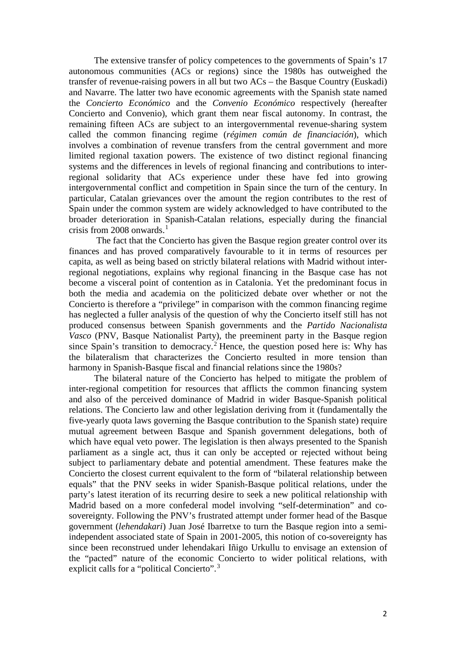The extensive transfer of policy competences to the governments of Spain's 17 autonomous communities (ACs or regions) since the 1980s has outweighed the transfer of revenue-raising powers in all but two ACs – the Basque Country (Euskadi) and Navarre. The latter two have economic agreements with the Spanish state named the *Concierto Económico* and the *Convenio Económico* respectively (hereafter Concierto and Convenio), which grant them near fiscal autonomy. In contrast, the remaining fifteen ACs are subject to an intergovernmental revenue-sharing system called the common financing regime (*régimen común de financiación*), which involves a combination of revenue transfers from the central government and more limited regional taxation powers. The existence of two distinct regional financing systems and the differences in levels of regional financing and contributions to interregional solidarity that ACs experience under these have fed into growing intergovernmental conflict and competition in Spain since the turn of the century. In particular, Catalan grievances over the amount the region contributes to the rest of Spain under the common system are widely acknowledged to have contributed to the broader deterioration in Spanish-Catalan relations, especially during the financial crisis from 2008 onwards. [1](#page-15-0)

 The fact that the Concierto has given the Basque region greater control over its finances and has proved comparatively favourable to it in terms of resources per capita, as well as being based on strictly bilateral relations with Madrid without interregional negotiations, explains why regional financing in the Basque case has not become a visceral point of contention as in Catalonia. Yet the predominant focus in both the media and academia on the politicized debate over whether or not the Concierto is therefore a "privilege" in comparison with the common financing regime has neglected a fuller analysis of the question of why the Concierto itself still has not produced consensus between Spanish governments and the *Partido Nacionalista Vasco* (PNV, Basque Nationalist Party), the preeminent party in the Basque region since Spain's transition to democracy. [2](#page-15-1) Hence, the question posed here is: Why has the bilateralism that characterizes the Concierto resulted in more tension than harmony in Spanish-Basque fiscal and financial relations since the 1980s?

 The bilateral nature of the Concierto has helped to mitigate the problem of inter-regional competition for resources that afflicts the common financing system and also of the perceived dominance of Madrid in wider Basque-Spanish political relations. The Concierto law and other legislation deriving from it (fundamentally the five-yearly quota laws governing the Basque contribution to the Spanish state) require mutual agreement between Basque and Spanish government delegations, both of which have equal veto power. The legislation is then always presented to the Spanish parliament as a single act, thus it can only be accepted or rejected without being subject to parliamentary debate and potential amendment. These features make the Concierto the closest current equivalent to the form of "bilateral relationship between equals" that the PNV seeks in wider Spanish-Basque political relations, under the party's latest iteration of its recurring desire to seek a new political relationship with Madrid based on a more confederal model involving "self-determination" and cosovereignty. Following the PNV's frustrated attempt under former head of the Basque government (*lehendakari*) Juan José Ibarretxe to turn the Basque region into a semiindependent associated state of Spain in 2001-2005, this notion of co-sovereignty has since been reconstrued under lehendakari Iñigo Urkullu to envisage an extension of the "pacted" nature of the economic Concierto to wider political relations, with explicit calls for a "political Concierto".<sup>[3](#page-15-2)</sup>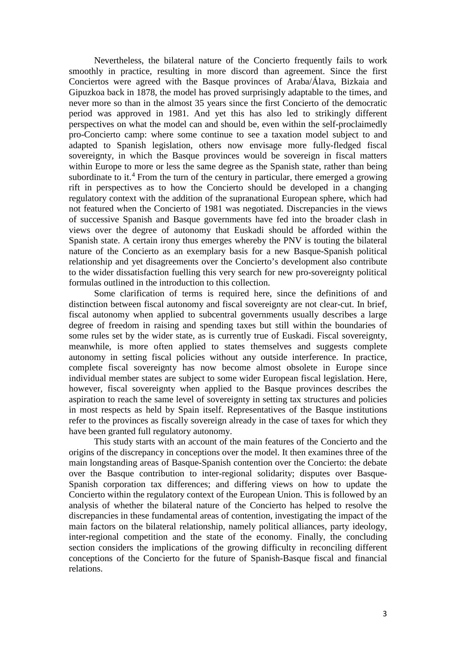Nevertheless, the bilateral nature of the Concierto frequently fails to work smoothly in practice, resulting in more discord than agreement. Since the first Conciertos were agreed with the Basque provinces of Araba/Álava, Bizkaia and Gipuzkoa back in 1878, the model has proved surprisingly adaptable to the times, and never more so than in the almost 35 years since the first Concierto of the democratic period was approved in 1981. And yet this has also led to strikingly different perspectives on what the model can and should be, even within the self-proclaimedly pro-Concierto camp: where some continue to see a taxation model subject to and adapted to Spanish legislation, others now envisage more fully-fledged fiscal sovereignty, in which the Basque provinces would be sovereign in fiscal matters within Europe to more or less the same degree as the Spanish state, rather than being subordinate to it.<sup>[4](#page-15-3)</sup> From the turn of the century in particular, there emerged a growing rift in perspectives as to how the Concierto should be developed in a changing regulatory context with the addition of the supranational European sphere, which had not featured when the Concierto of 1981 was negotiated. Discrepancies in the views of successive Spanish and Basque governments have fed into the broader clash in views over the degree of autonomy that Euskadi should be afforded within the Spanish state. A certain irony thus emerges whereby the PNV is touting the bilateral nature of the Concierto as an exemplary basis for a new Basque-Spanish political relationship and yet disagreements over the Concierto's development also contribute to the wider dissatisfaction fuelling this very search for new pro-sovereignty political formulas outlined in the introduction to this collection.

 Some clarification of terms is required here, since the definitions of and distinction between fiscal autonomy and fiscal sovereignty are not clear-cut. In brief, fiscal autonomy when applied to subcentral governments usually describes a large degree of freedom in raising and spending taxes but still within the boundaries of some rules set by the wider state, as is currently true of Euskadi. Fiscal sovereignty, meanwhile, is more often applied to states themselves and suggests complete autonomy in setting fiscal policies without any outside interference. In practice, complete fiscal sovereignty has now become almost obsolete in Europe since individual member states are subject to some wider European fiscal legislation. Here, however, fiscal sovereignty when applied to the Basque provinces describes the aspiration to reach the same level of sovereignty in setting tax structures and policies in most respects as held by Spain itself. Representatives of the Basque institutions refer to the provinces as fiscally sovereign already in the case of taxes for which they have been granted full regulatory autonomy.

 This study starts with an account of the main features of the Concierto and the origins of the discrepancy in conceptions over the model. It then examines three of the main longstanding areas of Basque-Spanish contention over the Concierto: the debate over the Basque contribution to inter-regional solidarity; disputes over Basque-Spanish corporation tax differences; and differing views on how to update the Concierto within the regulatory context of the European Union. This is followed by an analysis of whether the bilateral nature of the Concierto has helped to resolve the discrepancies in these fundamental areas of contention, investigating the impact of the main factors on the bilateral relationship, namely political alliances, party ideology, inter-regional competition and the state of the economy. Finally, the concluding section considers the implications of the growing difficulty in reconciling different conceptions of the Concierto for the future of Spanish-Basque fiscal and financial relations.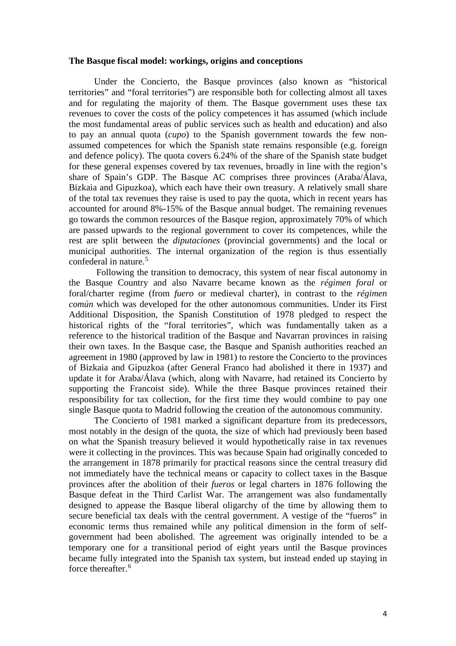#### **The Basque fiscal model: workings, origins and conceptions**

 Under the Concierto, the Basque provinces (also known as "historical territories" and "foral territories") are responsible both for collecting almost all taxes and for regulating the majority of them. The Basque government uses these tax revenues to cover the costs of the policy competences it has assumed (which include the most fundamental areas of public services such as health and education) and also to pay an annual quota (*cupo*) to the Spanish government towards the few nonassumed competences for which the Spanish state remains responsible (e.g. foreign and defence policy). The quota covers 6.24% of the share of the Spanish state budget for these general expenses covered by tax revenues, broadly in line with the region's share of Spain's GDP. The Basque AC comprises three provinces (Araba/Álava, Bizkaia and Gipuzkoa), which each have their own treasury. A relatively small share of the total tax revenues they raise is used to pay the quota, which in recent years has accounted for around 8%-15% of the Basque annual budget. The remaining revenues go towards the common resources of the Basque region, approximately 70% of which are passed upwards to the regional government to cover its competences, while the rest are split between the *diputaciones* (provincial governments) and the local or municipal authorities. The internal organization of the region is thus essentially confederal in nature.<sup>[5](#page-15-4)</sup>

 Following the transition to democracy, this system of near fiscal autonomy in the Basque Country and also Navarre became known as the *régimen foral* or foral/charter regime (from *fuero* or medieval charter), in contrast to the *régimen común* which was developed for the other autonomous communities. Under its First Additional Disposition, the Spanish Constitution of 1978 pledged to respect the historical rights of the "foral territories", which was fundamentally taken as a reference to the historical tradition of the Basque and Navarran provinces in raising their own taxes. In the Basque case, the Basque and Spanish authorities reached an agreement in 1980 (approved by law in 1981) to restore the Concierto to the provinces of Bizkaia and Gipuzkoa (after General Franco had abolished it there in 1937) and update it for Araba/Álava (which, along with Navarre, had retained its Concierto by supporting the Francoist side). While the three Basque provinces retained their responsibility for tax collection, for the first time they would combine to pay one single Basque quota to Madrid following the creation of the autonomous community.

 The Concierto of 1981 marked a significant departure from its predecessors, most notably in the design of the quota, the size of which had previously been based on what the Spanish treasury believed it would hypothetically raise in tax revenues were it collecting in the provinces. This was because Spain had originally conceded to the arrangement in 1878 primarily for practical reasons since the central treasury did not immediately have the technical means or capacity to collect taxes in the Basque provinces after the abolition of their *fueros* or legal charters in 1876 following the Basque defeat in the Third Carlist War. The arrangement was also fundamentally designed to appease the Basque liberal oligarchy of the time by allowing them to secure beneficial tax deals with the central government. A vestige of the "fueros" in economic terms thus remained while any political dimension in the form of selfgovernment had been abolished. The agreement was originally intended to be a temporary one for a transitional period of eight years until the Basque provinces became fully integrated into the Spanish tax system, but instead ended up staying in force thereafter.<sup>[6](#page-15-5)</sup>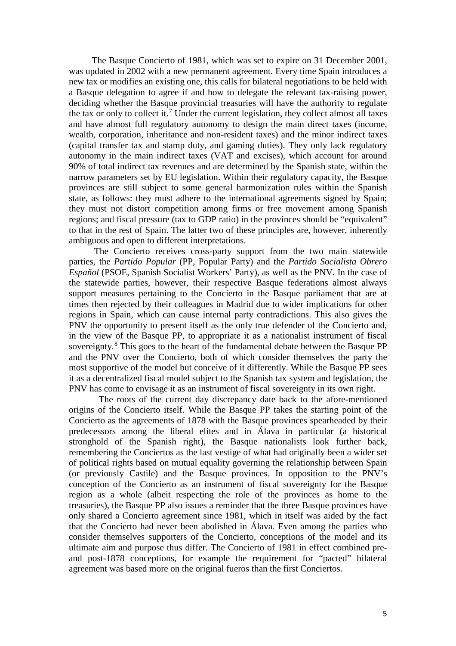The Basque Concierto of 1981, which was set to expire on 31 December 2001, was updated in 2002 with a new permanent agreement. Every time Spain introduces a new tax or modifies an existing one, this calls for bilateral negotiations to be held with a Basque delegation to agree if and how to delegate the relevant tax-raising power, deciding whether the Basque provincial treasuries will have the authority to regulate the tax or only to collect it.<sup>[7](#page-15-6)</sup> Under the current legislation, they collect almost all taxes and have almost full regulatory autonomy to design the main direct taxes (income, wealth, corporation, inheritance and non-resident taxes) and the minor indirect taxes (capital transfer tax and stamp duty, and gaming duties). They only lack regulatory autonomy in the main indirect taxes (VAT and excises), which account for around 90% of total indirect tax revenues and are determined by the Spanish state, within the narrow parameters set by EU legislation. Within their regulatory capacity, the Basque provinces are still subject to some general harmonization rules within the Spanish state, as follows: they must adhere to the international agreements signed by Spain; they must not distort competition among firms or free movement among Spanish regions; and fiscal pressure (tax to GDP ratio) in the provinces should be "equivalent" to that in the rest of Spain. The latter two of these principles are, however, inherently ambiguous and open to different interpretations.

 The Concierto receives cross-party support from the two main statewide parties, the *Partido Popular* (PP, Popular Party) and the *Partido Socialista Obrero Español* (PSOE, Spanish Socialist Workers' Party), as well as the PNV. In the case of the statewide parties, however, their respective Basque federations almost always support measures pertaining to the Concierto in the Basque parliament that are at times then rejected by their colleagues in Madrid due to wider implications for other regions in Spain, which can cause internal party contradictions. This also gives the PNV the opportunity to present itself as the only true defender of the Concierto and, in the view of the Basque PP, to appropriate it as a nationalist instrument of fiscal sovereignty.[8](#page-15-7) This goes to the heart of the fundamental debate between the Basque PP and the PNV over the Concierto, both of which consider themselves the party the most supportive of the model but conceive of it differently. While the Basque PP sees it as a decentralized fiscal model subject to the Spanish tax system and legislation, the PNV has come to envisage it as an instrument of fiscal sovereignty in its own right.

 The roots of the current day discrepancy date back to the afore-mentioned origins of the Concierto itself. While the Basque PP takes the starting point of the Concierto as the agreements of 1878 with the Basque provinces spearheaded by their predecessors among the liberal elites and in Álava in particular (a historical stronghold of the Spanish right), the Basque nationalists look further back, remembering the Conciertos as the last vestige of what had originally been a wider set of political rights based on mutual equality governing the relationship between Spain (or previously Castile) and the Basque provinces. In opposition to the PNV's conception of the Concierto as an instrument of fiscal sovereignty for the Basque region as a whole (albeit respecting the role of the provinces as home to the treasuries), the Basque PP also issues a reminder that the three Basque provinces have only shared a Concierto agreement since 1981, which in itself was aided by the fact that the Concierto had never been abolished in Álava. Even among the parties who consider themselves supporters of the Concierto, conceptions of the model and its ultimate aim and purpose thus differ. The Concierto of 1981 in effect combined preand post-1878 conceptions, for example the requirement for "pacted" bilateral agreement was based more on the original fueros than the first Conciertos.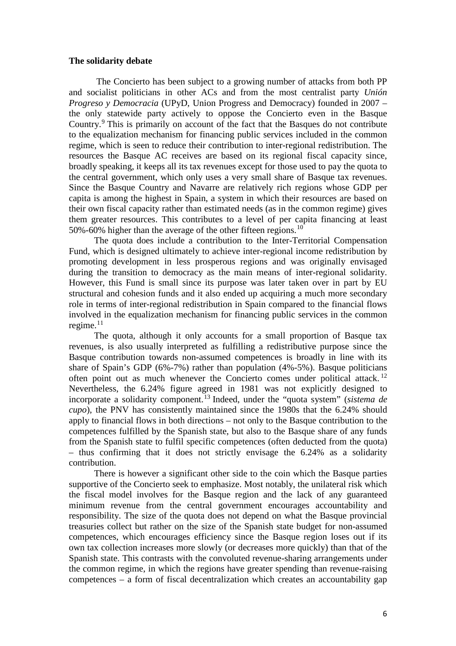#### **The solidarity debate**

 The Concierto has been subject to a growing number of attacks from both PP and socialist politicians in other ACs and from the most centralist party *Unión Progreso y Democracia* (UPyD, Union Progress and Democracy) founded in 2007 – the only statewide party actively to oppose the Concierto even in the Basque Country.[9](#page-15-8) This is primarily on account of the fact that the Basques do not contribute to the equalization mechanism for financing public services included in the common regime, which is seen to reduce their contribution to inter-regional redistribution. The resources the Basque AC receives are based on its regional fiscal capacity since, broadly speaking, it keeps all its tax revenues except for those used to pay the quota to the central government, which only uses a very small share of Basque tax revenues. Since the Basque Country and Navarre are relatively rich regions whose GDP per capita is among the highest in Spain, a system in which their resources are based on their own fiscal capacity rather than estimated needs (as in the common regime) gives them greater resources. This contributes to a level of per capita financing at least 50%-60% higher than the average of the other fifteen regions.<sup>[10](#page-15-9)</sup>

 The quota does include a contribution to the Inter-Territorial Compensation Fund, which is designed ultimately to achieve inter-regional income redistribution by promoting development in less prosperous regions and was originally envisaged during the transition to democracy as the main means of inter-regional solidarity. However, this Fund is small since its purpose was later taken over in part by EU structural and cohesion funds and it also ended up acquiring a much more secondary role in terms of inter-regional redistribution in Spain compared to the financial flows involved in the equalization mechanism for financing public services in the common regime. $11$ 

 The quota, although it only accounts for a small proportion of Basque tax revenues, is also usually interpreted as fulfilling a redistributive purpose since the Basque contribution towards non-assumed competences is broadly in line with its share of Spain's GDP (6%-7%) rather than population (4%-5%). Basque politicians often point out as much whenever the Concierto comes under political attack.<sup>[12](#page-15-11)</sup> Nevertheless, the 6.24% figure agreed in 1981 was not explicitly designed to incorporate a solidarity component. [13](#page-15-12) Indeed, under the "quota system" (*sistema de cupo*), the PNV has consistently maintained since the 1980s that the 6.24% should apply to financial flows in both directions – not only to the Basque contribution to the competences fulfilled by the Spanish state, but also to the Basque share of any funds from the Spanish state to fulfil specific competences (often deducted from the quota) – thus confirming that it does not strictly envisage the 6.24% as a solidarity contribution.

 There is however a significant other side to the coin which the Basque parties supportive of the Concierto seek to emphasize. Most notably, the unilateral risk which the fiscal model involves for the Basque region and the lack of any guaranteed minimum revenue from the central government encourages accountability and responsibility. The size of the quota does not depend on what the Basque provincial treasuries collect but rather on the size of the Spanish state budget for non-assumed competences, which encourages efficiency since the Basque region loses out if its own tax collection increases more slowly (or decreases more quickly) than that of the Spanish state. This contrasts with the convoluted revenue-sharing arrangements under the common regime, in which the regions have greater spending than revenue-raising competences – a form of fiscal decentralization which creates an accountability gap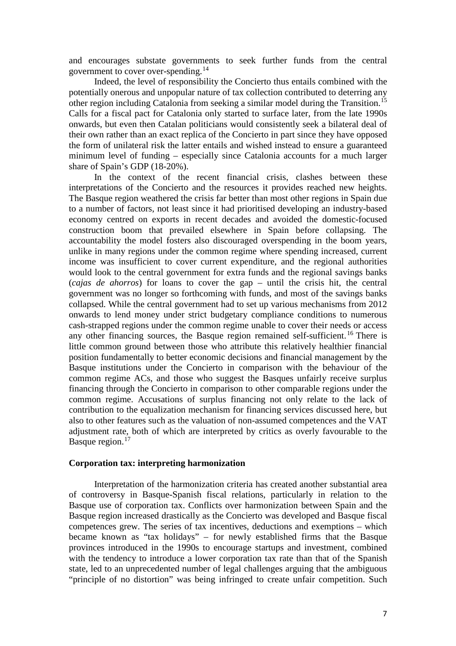and encourages substate governments to seek further funds from the central government to cover over-spending.<sup>[14](#page-15-13)</sup>

 Indeed, the level of responsibility the Concierto thus entails combined with the potentially onerous and unpopular nature of tax collection contributed to deterring any other region including Catalonia from seeking a similar model during the Transition.[15](#page-15-14) Calls for a fiscal pact for Catalonia only started to surface later, from the late 1990s onwards, but even then Catalan politicians would consistently seek a bilateral deal of their own rather than an exact replica of the Concierto in part since they have opposed the form of unilateral risk the latter entails and wished instead to ensure a guaranteed minimum level of funding – especially since Catalonia accounts for a much larger share of Spain's GDP (18-20%).

 In the context of the recent financial crisis, clashes between these interpretations of the Concierto and the resources it provides reached new heights. The Basque region weathered the crisis far better than most other regions in Spain due to a number of factors, not least since it had prioritised developing an industry-based economy centred on exports in recent decades and avoided the domestic-focused construction boom that prevailed elsewhere in Spain before collapsing. The accountability the model fosters also discouraged overspending in the boom years, unlike in many regions under the common regime where spending increased, current income was insufficient to cover current expenditure, and the regional authorities would look to the central government for extra funds and the regional savings banks (*cajas de ahorros*) for loans to cover the gap – until the crisis hit, the central government was no longer so forthcoming with funds, and most of the savings banks collapsed. While the central government had to set up various mechanisms from 2012 onwards to lend money under strict budgetary compliance conditions to numerous cash-strapped regions under the common regime unable to cover their needs or access any other financing sources, the Basque region remained self-sufficient.<sup>[16](#page-16-0)</sup> There is little common ground between those who attribute this relatively healthier financial position fundamentally to better economic decisions and financial management by the Basque institutions under the Concierto in comparison with the behaviour of the common regime ACs, and those who suggest the Basques unfairly receive surplus financing through the Concierto in comparison to other comparable regions under the common regime. Accusations of surplus financing not only relate to the lack of contribution to the equalization mechanism for financing services discussed here, but also to other features such as the valuation of non-assumed competences and the VAT adjustment rate, both of which are interpreted by critics as overly favourable to the Basque region.<sup>[17](#page-16-1)</sup>

#### **Corporation tax: interpreting harmonization**

 Interpretation of the harmonization criteria has created another substantial area of controversy in Basque-Spanish fiscal relations, particularly in relation to the Basque use of corporation tax. Conflicts over harmonization between Spain and the Basque region increased drastically as the Concierto was developed and Basque fiscal competences grew. The series of tax incentives, deductions and exemptions – which became known as "tax holidays" – for newly established firms that the Basque provinces introduced in the 1990s to encourage startups and investment, combined with the tendency to introduce a lower corporation tax rate than that of the Spanish state, led to an unprecedented number of legal challenges arguing that the ambiguous "principle of no distortion" was being infringed to create unfair competition. Such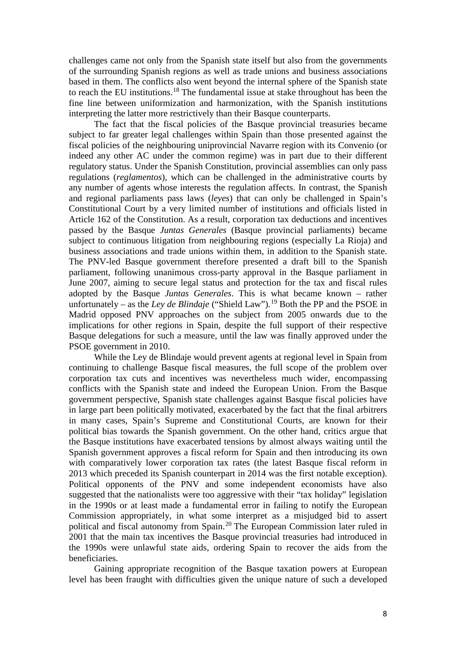challenges came not only from the Spanish state itself but also from the governments of the surrounding Spanish regions as well as trade unions and business associations based in them. The conflicts also went beyond the internal sphere of the Spanish state to reach the EU institutions.<sup>[18](#page-16-2)</sup> The fundamental issue at stake throughout has been the fine line between uniformization and harmonization, with the Spanish institutions interpreting the latter more restrictively than their Basque counterparts.

 The fact that the fiscal policies of the Basque provincial treasuries became subject to far greater legal challenges within Spain than those presented against the fiscal policies of the neighbouring uniprovincial Navarre region with its Convenio (or indeed any other AC under the common regime) was in part due to their different regulatory status. Under the Spanish Constitution, provincial assemblies can only pass regulations (*reglamentos*), which can be challenged in the administrative courts by any number of agents whose interests the regulation affects. In contrast, the Spanish and regional parliaments pass laws (*leyes*) that can only be challenged in Spain's Constitutional Court by a very limited number of institutions and officials listed in Article 162 of the Constitution. As a result, corporation tax deductions and incentives passed by the Basque *Juntas Generales* (Basque provincial parliaments) became subject to continuous litigation from neighbouring regions (especially La Rioja) and business associations and trade unions within them, in addition to the Spanish state. The PNV-led Basque government therefore presented a draft bill to the Spanish parliament, following unanimous cross-party approval in the Basque parliament in June 2007, aiming to secure legal status and protection for the tax and fiscal rules adopted by the Basque *Juntas Generales*. This is what became known – rather unfortunately – as the *Ley de Blindaje* ("Shield Law").<sup>[19](#page-16-3)</sup> Both the PP and the PSOE in Madrid opposed PNV approaches on the subject from 2005 onwards due to the implications for other regions in Spain, despite the full support of their respective Basque delegations for such a measure, until the law was finally approved under the PSOE government in 2010.

 While the Ley de Blindaje would prevent agents at regional level in Spain from continuing to challenge Basque fiscal measures, the full scope of the problem over corporation tax cuts and incentives was nevertheless much wider, encompassing conflicts with the Spanish state and indeed the European Union. From the Basque government perspective, Spanish state challenges against Basque fiscal policies have in large part been politically motivated, exacerbated by the fact that the final arbitrers in many cases, Spain's Supreme and Constitutional Courts, are known for their political bias towards the Spanish government. On the other hand, critics argue that the Basque institutions have exacerbated tensions by almost always waiting until the Spanish government approves a fiscal reform for Spain and then introducing its own with comparatively lower corporation tax rates (the latest Basque fiscal reform in 2013 which preceded its Spanish counterpart in 2014 was the first notable exception). Political opponents of the PNV and some independent economists have also suggested that the nationalists were too aggressive with their "tax holiday" legislation in the 1990s or at least made a fundamental error in failing to notify the European Commission appropriately, in what some interpret as a misjudged bid to assert political and fiscal autonomy from Spain.<sup>[20](#page-16-4)</sup> The European Commission later ruled in 2001 that the main tax incentives the Basque provincial treasuries had introduced in the 1990s were unlawful state aids, ordering Spain to recover the aids from the beneficiaries.

 Gaining appropriate recognition of the Basque taxation powers at European level has been fraught with difficulties given the unique nature of such a developed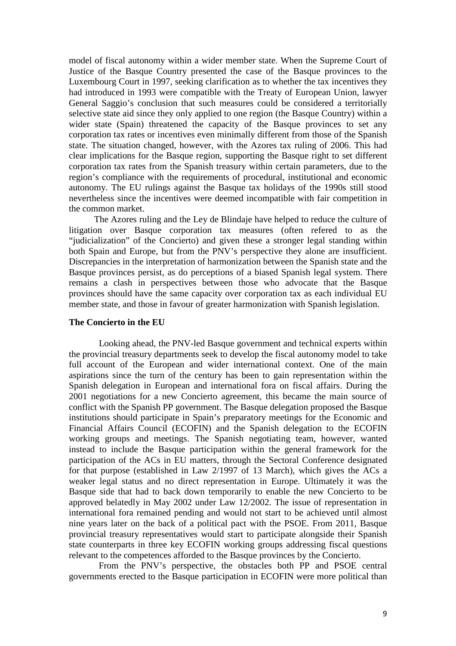model of fiscal autonomy within a wider member state. When the Supreme Court of Justice of the Basque Country presented the case of the Basque provinces to the Luxembourg Court in 1997, seeking clarification as to whether the tax incentives they had introduced in 1993 were compatible with the Treaty of European Union, lawyer General Saggio's conclusion that such measures could be considered a territorially selective state aid since they only applied to one region (the Basque Country) within a wider state (Spain) threatened the capacity of the Basque provinces to set any corporation tax rates or incentives even minimally different from those of the Spanish state. The situation changed, however, with the Azores tax ruling of 2006. This had clear implications for the Basque region, supporting the Basque right to set different corporation tax rates from the Spanish treasury within certain parameters, due to the region's compliance with the requirements of procedural, institutional and economic autonomy. The EU rulings against the Basque tax holidays of the 1990s still stood nevertheless since the incentives were deemed incompatible with fair competition in the common market.

 The Azores ruling and the Ley de Blindaje have helped to reduce the culture of litigation over Basque corporation tax measures (often refered to as the "judicialization" of the Concierto) and given these a stronger legal standing within both Spain and Europe, but from the PNV's perspective they alone are insufficient. Discrepancies in the interpretation of harmonization between the Spanish state and the Basque provinces persist, as do perceptions of a biased Spanish legal system. There remains a clash in perspectives between those who advocate that the Basque provinces should have the same capacity over corporation tax as each individual EU member state, and those in favour of greater harmonization with Spanish legislation.

#### **The Concierto in the EU**

 Looking ahead, the PNV-led Basque government and technical experts within the provincial treasury departments seek to develop the fiscal autonomy model to take full account of the European and wider international context. One of the main aspirations since the turn of the century has been to gain representation within the Spanish delegation in European and international fora on fiscal affairs. During the 2001 negotiations for a new Concierto agreement, this became the main source of conflict with the Spanish PP government. The Basque delegation proposed the Basque institutions should participate in Spain's preparatory meetings for the Economic and Financial Affairs Council (ECOFIN) and the Spanish delegation to the ECOFIN working groups and meetings. The Spanish negotiating team, however, wanted instead to include the Basque participation within the general framework for the participation of the ACs in EU matters, through the Sectoral Conference designated for that purpose (established in Law 2/1997 of 13 March), which gives the ACs a weaker legal status and no direct representation in Europe. Ultimately it was the Basque side that had to back down temporarily to enable the new Concierto to be approved belatedly in May 2002 under Law 12/2002. The issue of representation in international fora remained pending and would not start to be achieved until almost nine years later on the back of a political pact with the PSOE. From 2011, Basque provincial treasury representatives would start to participate alongside their Spanish state counterparts in three key ECOFIN working groups addressing fiscal questions relevant to the competences afforded to the Basque provinces by the Concierto.

 From the PNV's perspective, the obstacles both PP and PSOE central governments erected to the Basque participation in ECOFIN were more political than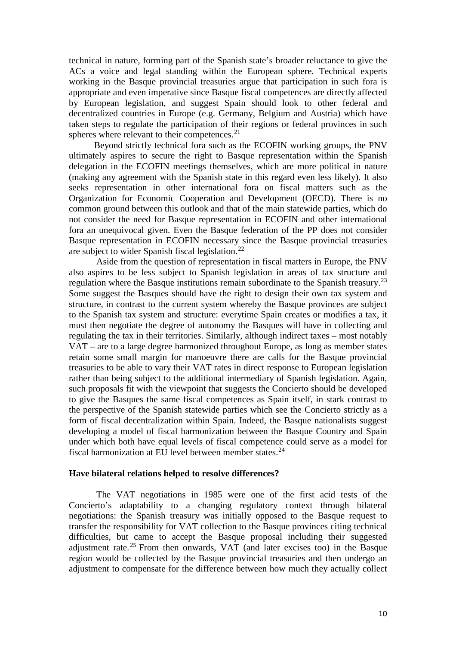technical in nature, forming part of the Spanish state's broader reluctance to give the ACs a voice and legal standing within the European sphere. Technical experts working in the Basque provincial treasuries argue that participation in such fora is appropriate and even imperative since Basque fiscal competences are directly affected by European legislation, and suggest Spain should look to other federal and decentralized countries in Europe (e.g. Germany, Belgium and Austria) which have taken steps to regulate the participation of their regions or federal provinces in such spheres where relevant to their competences.<sup>[21](#page-16-5)</sup>

 Beyond strictly technical fora such as the ECOFIN working groups, the PNV ultimately aspires to secure the right to Basque representation within the Spanish delegation in the ECOFIN meetings themselves, which are more political in nature (making any agreement with the Spanish state in this regard even less likely). It also seeks representation in other international fora on fiscal matters such as the Organization for Economic Cooperation and Development (OECD). There is no common ground between this outlook and that of the main statewide parties, which do not consider the need for Basque representation in ECOFIN and other international fora an unequivocal given. Even the Basque federation of the PP does not consider Basque representation in ECOFIN necessary since the Basque provincial treasuries are subject to wider Spanish fiscal legislation.[22](#page-16-6)

 Aside from the question of representation in fiscal matters in Europe, the PNV also aspires to be less subject to Spanish legislation in areas of tax structure and regulation where the Basque institutions remain subordinate to the Spanish treasury.<sup>[23](#page-16-7)</sup> Some suggest the Basques should have the right to design their own tax system and structure, in contrast to the current system whereby the Basque provinces are subject to the Spanish tax system and structure: everytime Spain creates or modifies a tax, it must then negotiate the degree of autonomy the Basques will have in collecting and regulating the tax in their territories. Similarly, although indirect taxes – most notably VAT – are to a large degree harmonized throughout Europe, as long as member states retain some small margin for manoeuvre there are calls for the Basque provincial treasuries to be able to vary their VAT rates in direct response to European legislation rather than being subject to the additional intermediary of Spanish legislation. Again, such proposals fit with the viewpoint that suggests the Concierto should be developed to give the Basques the same fiscal competences as Spain itself, in stark contrast to the perspective of the Spanish statewide parties which see the Concierto strictly as a form of fiscal decentralization within Spain. Indeed, the Basque nationalists suggest developing a model of fiscal harmonization between the Basque Country and Spain under which both have equal levels of fiscal competence could serve as a model for fiscal harmonization at EU level between member states.<sup>[24](#page-16-8)</sup>

#### **Have bilateral relations helped to resolve differences?**

 The VAT negotiations in 1985 were one of the first acid tests of the Concierto's adaptability to a changing regulatory context through bilateral negotiations: the Spanish treasury was initially opposed to the Basque request to transfer the responsibility for VAT collection to the Basque provinces citing technical difficulties, but came to accept the Basque proposal including their suggested adjustment rate. [25](#page-16-9) From then onwards, VAT (and later excises too) in the Basque region would be collected by the Basque provincial treasuries and then undergo an adjustment to compensate for the difference between how much they actually collect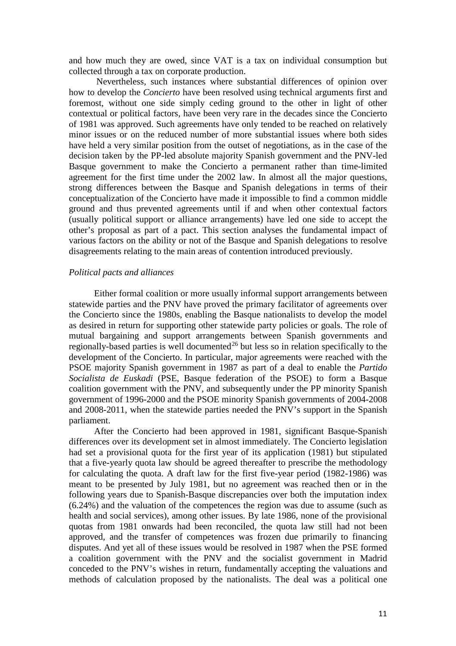and how much they are owed, since VAT is a tax on individual consumption but collected through a tax on corporate production.

 Nevertheless, such instances where substantial differences of opinion over how to develop the *Concierto* have been resolved using technical arguments first and foremost, without one side simply ceding ground to the other in light of other contextual or political factors, have been very rare in the decades since the Concierto of 1981 was approved. Such agreements have only tended to be reached on relatively minor issues or on the reduced number of more substantial issues where both sides have held a very similar position from the outset of negotiations, as in the case of the decision taken by the PP-led absolute majority Spanish government and the PNV-led Basque government to make the Concierto a permanent rather than time-limited agreement for the first time under the 2002 law. In almost all the major questions, strong differences between the Basque and Spanish delegations in terms of their conceptualization of the Concierto have made it impossible to find a common middle ground and thus prevented agreements until if and when other contextual factors (usually political support or alliance arrangements) have led one side to accept the other's proposal as part of a pact. This section analyses the fundamental impact of various factors on the ability or not of the Basque and Spanish delegations to resolve disagreements relating to the main areas of contention introduced previously.

#### *Political pacts and alliances*

 Either formal coalition or more usually informal support arrangements between statewide parties and the PNV have proved the primary facilitator of agreements over the Concierto since the 1980s, enabling the Basque nationalists to develop the model as desired in return for supporting other statewide party policies or goals. The role of mutual bargaining and support arrangements between Spanish governments and regionally-based parties is well documented<sup>[26](#page-16-10)</sup> but less so in relation specifically to the development of the Concierto. In particular, major agreements were reached with the PSOE majority Spanish government in 1987 as part of a deal to enable the *Partido Socialista de Euskadi* (PSE, Basque federation of the PSOE) to form a Basque coalition government with the PNV, and subsequently under the PP minority Spanish government of 1996-2000 and the PSOE minority Spanish governments of 2004-2008 and 2008-2011, when the statewide parties needed the PNV's support in the Spanish parliament.

 After the Concierto had been approved in 1981, significant Basque-Spanish differences over its development set in almost immediately. The Concierto legislation had set a provisional quota for the first year of its application (1981) but stipulated that a five-yearly quota law should be agreed thereafter to prescribe the methodology for calculating the quota. A draft law for the first five-year period (1982-1986) was meant to be presented by July 1981, but no agreement was reached then or in the following years due to Spanish-Basque discrepancies over both the imputation index (6.24%) and the valuation of the competences the region was due to assume (such as health and social services), among other issues. By late 1986, none of the provisional quotas from 1981 onwards had been reconciled, the quota law still had not been approved, and the transfer of competences was frozen due primarily to financing disputes. And yet all of these issues would be resolved in 1987 when the PSE formed a coalition government with the PNV and the socialist government in Madrid conceded to the PNV's wishes in return, fundamentally accepting the valuations and methods of calculation proposed by the nationalists. The deal was a political one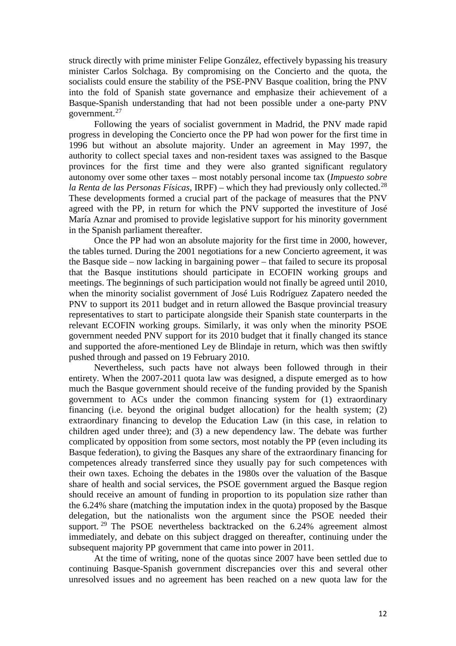struck directly with prime minister Felipe González, effectively bypassing his treasury minister Carlos Solchaga. By compromising on the Concierto and the quota, the socialists could ensure the stability of the PSE-PNV Basque coalition, bring the PNV into the fold of Spanish state governance and emphasize their achievement of a Basque-Spanish understanding that had not been possible under a one-party PNV government.[27](#page-16-11)

 Following the years of socialist government in Madrid, the PNV made rapid progress in developing the Concierto once the PP had won power for the first time in 1996 but without an absolute majority. Under an agreement in May 1997, the authority to collect special taxes and non-resident taxes was assigned to the Basque provinces for the first time and they were also granted significant regulatory autonomy over some other taxes – most notably personal income tax (*Impuesto sobre la Renta de las Personas Físicas*, IRPF) – which they had previously only collected. [28](#page-16-12) These developments formed a crucial part of the package of measures that the PNV agreed with the PP, in return for which the PNV supported the investiture of José María Aznar and promised to provide legislative support for his minority government in the Spanish parliament thereafter.

 Once the PP had won an absolute majority for the first time in 2000, however, the tables turned. During the 2001 negotiations for a new Concierto agreement, it was the Basque side – now lacking in bargaining power – that failed to secure its proposal that the Basque institutions should participate in ECOFIN working groups and meetings. The beginnings of such participation would not finally be agreed until 2010, when the minority socialist government of José Luis Rodríguez Zapatero needed the PNV to support its 2011 budget and in return allowed the Basque provincial treasury representatives to start to participate alongside their Spanish state counterparts in the relevant ECOFIN working groups. Similarly, it was only when the minority PSOE government needed PNV support for its 2010 budget that it finally changed its stance and supported the afore-mentioned Ley de Blindaje in return, which was then swiftly pushed through and passed on 19 February 2010.

 Nevertheless, such pacts have not always been followed through in their entirety. When the 2007-2011 quota law was designed, a dispute emerged as to how much the Basque government should receive of the funding provided by the Spanish government to ACs under the common financing system for (1) extraordinary financing (i.e. beyond the original budget allocation) for the health system; (2) extraordinary financing to develop the Education Law (in this case, in relation to children aged under three); and (3) a new dependency law. The debate was further complicated by opposition from some sectors, most notably the PP (even including its Basque federation), to giving the Basques any share of the extraordinary financing for competences already transferred since they usually pay for such competences with their own taxes. Echoing the debates in the 1980s over the valuation of the Basque share of health and social services, the PSOE government argued the Basque region should receive an amount of funding in proportion to its population size rather than the 6.24% share (matching the imputation index in the quota) proposed by the Basque delegation, but the nationalists won the argument since the PSOE needed their support.<sup>[29](#page-16-13)</sup> The PSOE nevertheless backtracked on the 6.24% agreement almost immediately, and debate on this subject dragged on thereafter, continuing under the subsequent majority PP government that came into power in 2011.

 At the time of writing, none of the quotas since 2007 have been settled due to continuing Basque-Spanish government discrepancies over this and several other unresolved issues and no agreement has been reached on a new quota law for the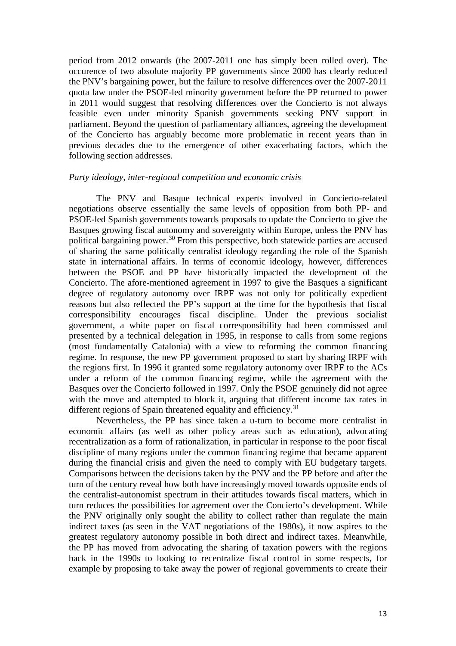period from 2012 onwards (the 2007-2011 one has simply been rolled over). The occurence of two absolute majority PP governments since 2000 has clearly reduced the PNV's bargaining power, but the failure to resolve differences over the 2007-2011 quota law under the PSOE-led minority government before the PP returned to power in 2011 would suggest that resolving differences over the Concierto is not always feasible even under minority Spanish governments seeking PNV support in parliament. Beyond the question of parliamentary alliances, agreeing the development of the Concierto has arguably become more problematic in recent years than in previous decades due to the emergence of other exacerbating factors, which the following section addresses.

#### *Party ideology, inter-regional competition and economic crisis*

 The PNV and Basque technical experts involved in Concierto-related negotiations observe essentially the same levels of opposition from both PP- and PSOE-led Spanish governments towards proposals to update the Concierto to give the Basques growing fiscal autonomy and sovereignty within Europe, unless the PNV has political bargaining power.[30](#page-16-14) From this perspective, both statewide parties are accused of sharing the same politically centralist ideology regarding the role of the Spanish state in international affairs. In terms of economic ideology, however, differences between the PSOE and PP have historically impacted the development of the Concierto. The afore-mentioned agreement in 1997 to give the Basques a significant degree of regulatory autonomy over IRPF was not only for politically expedient reasons but also reflected the PP's support at the time for the hypothesis that fiscal corresponsibility encourages fiscal discipline. Under the previous socialist government, a white paper on fiscal corresponsibility had been commissed and presented by a technical delegation in 1995, in response to calls from some regions (most fundamentally Catalonia) with a view to reforming the common financing regime. In response, the new PP government proposed to start by sharing IRPF with the regions first. In 1996 it granted some regulatory autonomy over IRPF to the ACs under a reform of the common financing regime, while the agreement with the Basques over the Concierto followed in 1997. Only the PSOE genuinely did not agree with the move and attempted to block it, arguing that different income tax rates in different regions of Spain threatened equality and efficiency.<sup>[31](#page-16-15)</sup>

 Nevertheless, the PP has since taken a u-turn to become more centralist in economic affairs (as well as other policy areas such as education), advocating recentralization as a form of rationalization, in particular in response to the poor fiscal discipline of many regions under the common financing regime that became apparent during the financial crisis and given the need to comply with EU budgetary targets. Comparisons between the decisions taken by the PNV and the PP before and after the turn of the century reveal how both have increasingly moved towards opposite ends of the centralist-autonomist spectrum in their attitudes towards fiscal matters, which in turn reduces the possibilities for agreement over the Concierto's development. While the PNV originally only sought the ability to collect rather than regulate the main indirect taxes (as seen in the VAT negotiations of the 1980s), it now aspires to the greatest regulatory autonomy possible in both direct and indirect taxes. Meanwhile, the PP has moved from advocating the sharing of taxation powers with the regions back in the 1990s to looking to recentralize fiscal control in some respects, for example by proposing to take away the power of regional governments to create their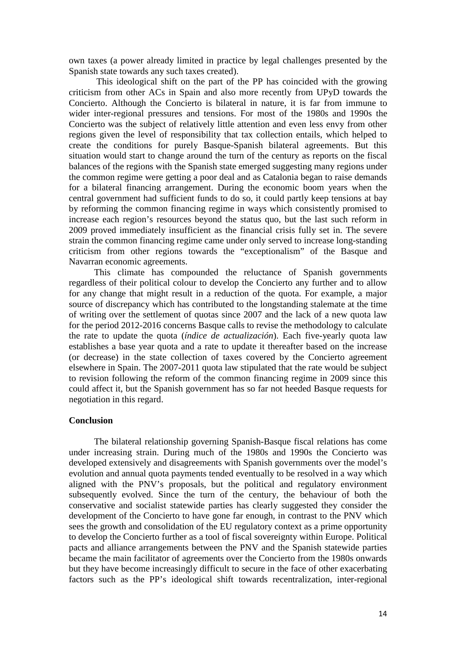own taxes (a power already limited in practice by legal challenges presented by the Spanish state towards any such taxes created).

 This ideological shift on the part of the PP has coincided with the growing criticism from other ACs in Spain and also more recently from UPyD towards the Concierto. Although the Concierto is bilateral in nature, it is far from immune to wider inter-regional pressures and tensions. For most of the 1980s and 1990s the Concierto was the subject of relatively little attention and even less envy from other regions given the level of responsibility that tax collection entails, which helped to create the conditions for purely Basque-Spanish bilateral agreements. But this situation would start to change around the turn of the century as reports on the fiscal balances of the regions with the Spanish state emerged suggesting many regions under the common regime were getting a poor deal and as Catalonia began to raise demands for a bilateral financing arrangement. During the economic boom years when the central government had sufficient funds to do so, it could partly keep tensions at bay by reforming the common financing regime in ways which consistently promised to increase each region's resources beyond the status quo, but the last such reform in 2009 proved immediately insufficient as the financial crisis fully set in. The severe strain the common financing regime came under only served to increase long-standing criticism from other regions towards the "exceptionalism" of the Basque and Navarran economic agreements.

 This climate has compounded the reluctance of Spanish governments regardless of their political colour to develop the Concierto any further and to allow for any change that might result in a reduction of the quota. For example, a major source of discrepancy which has contributed to the longstanding stalemate at the time of writing over the settlement of quotas since 2007 and the lack of a new quota law for the period 2012-2016 concerns Basque calls to revise the methodology to calculate the rate to update the quota (*índice de actualización*). Each five-yearly quota law establishes a base year quota and a rate to update it thereafter based on the increase (or decrease) in the state collection of taxes covered by the Concierto agreement elsewhere in Spain. The 2007-2011 quota law stipulated that the rate would be subject to revision following the reform of the common financing regime in 2009 since this could affect it, but the Spanish government has so far not heeded Basque requests for negotiation in this regard.

#### **Conclusion**

 The bilateral relationship governing Spanish-Basque fiscal relations has come under increasing strain. During much of the 1980s and 1990s the Concierto was developed extensively and disagreements with Spanish governments over the model's evolution and annual quota payments tended eventually to be resolved in a way which aligned with the PNV's proposals, but the political and regulatory environment subsequently evolved. Since the turn of the century, the behaviour of both the conservative and socialist statewide parties has clearly suggested they consider the development of the Concierto to have gone far enough, in contrast to the PNV which sees the growth and consolidation of the EU regulatory context as a prime opportunity to develop the Concierto further as a tool of fiscal sovereignty within Europe. Political pacts and alliance arrangements between the PNV and the Spanish statewide parties became the main facilitator of agreements over the Concierto from the 1980s onwards but they have become increasingly difficult to secure in the face of other exacerbating factors such as the PP's ideological shift towards recentralization, inter-regional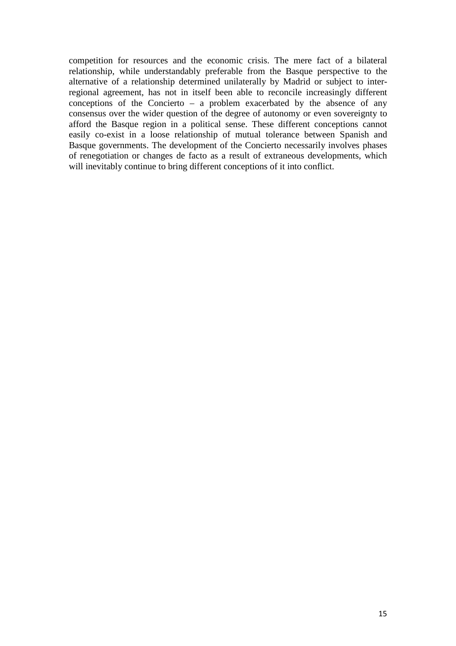competition for resources and the economic crisis. The mere fact of a bilateral relationship, while understandably preferable from the Basque perspective to the alternative of a relationship determined unilaterally by Madrid or subject to interregional agreement, has not in itself been able to reconcile increasingly different conceptions of the Concierto – a problem exacerbated by the absence of any consensus over the wider question of the degree of autonomy or even sovereignty to afford the Basque region in a political sense. These different conceptions cannot easily co-exist in a loose relationship of mutual tolerance between Spanish and Basque governments. The development of the Concierto necessarily involves phases of renegotiation or changes de facto as a result of extraneous developments, which will inevitably continue to bring different conceptions of it into conflict.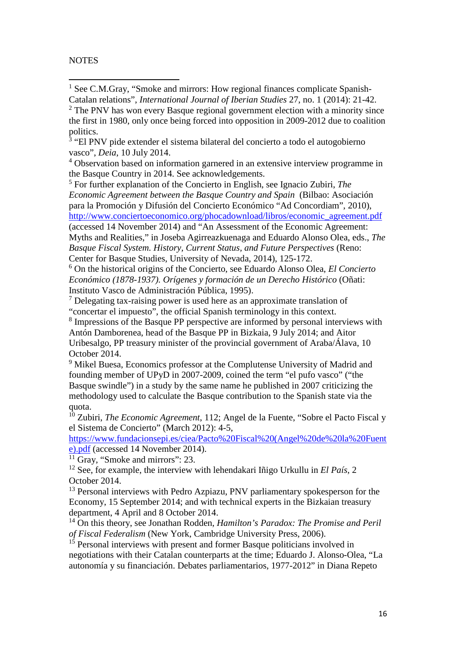#### **NOTES**

<span id="page-15-0"></span> $\overline{a}$ <sup>1</sup> See C.M.Gray, "Smoke and mirrors: How regional finances complicate Spanish-Catalan relations", *International Journal of Iberian Studies* 27, no. 1 (2014): 21-42.

<span id="page-15-1"></span><sup>2</sup> The PNV has won every Basque regional government election with a minority since the first in 1980, only once being forced into opposition in 2009-2012 due to coalition politics.

<span id="page-15-2"></span><sup>3</sup> "El PNV pide extender el sistema bilateral del concierto a todo el autogobierno vasco", *Deia*, 10 July 2014.

<span id="page-15-3"></span><sup>4</sup> Observation based on information garnered in an extensive interview programme in the Basque Country in 2014. See acknowledgements.

<span id="page-15-4"></span><sup>5</sup> For further explanation of the Concierto in English, see Ignacio Zubiri, *The Economic Agreement between the Basque Country and Spain* (Bilbao: Asociación para la Promoción y Difusión del Concierto Económico "Ad Concordiam", 2010), [http://www.conciertoeconomico.org/phocadownload/libros/economic\\_agreement.pdf](http://www.conciertoeconomico.org/phocadownload/libros/economic_agreement.pdf)

(accessed 14 November 2014) and "An Assessment of the Economic Agreement: Myths and Realities," in Joseba Agirreazkuenaga and Eduardo Alonso Olea, eds., *The Basque Fiscal System. History, Current Status, and Future Perspectives* (Reno: Center for Basque Studies, University of Nevada, 2014), 125-172.

<span id="page-15-5"></span><sup>6</sup> On the historical origins of the Concierto, see Eduardo Alonso Olea, *El Concierto Económico (1878-1937). Orígenes y formación de un Derecho Histórico* (Oñati: Instituto Vasco de Administración Pública, 1995).

<span id="page-15-6"></span> $<sup>7</sup>$  Delegating tax-raising power is used here as an approximate translation of</sup> "concertar el impuesto", the official Spanish terminology in this context.

<span id="page-15-7"></span><sup>8</sup> Impressions of the Basque PP perspective are informed by personal interviews with Antón Damborenea, head of the Basque PP in Bizkaia, 9 July 2014; and Aitor Uribesalgo, PP treasury minister of the provincial government of Araba/Álava, 10 October 2014.

<span id="page-15-8"></span><sup>9</sup> Mikel Buesa, Economics professor at the Complutense University of Madrid and founding member of UPyD in 2007-2009, coined the term "el pufo vasco" ("the Basque swindle") in a study by the same name he published in 2007 criticizing the methodology used to calculate the Basque contribution to the Spanish state via the quota.

<span id="page-15-9"></span><sup>10</sup> Zubiri, *The Economic Agreement*, 112; Angel de la Fuente, "Sobre el Pacto Fiscal y el Sistema de Concierto" (March 2012): 4-5,

[https://www.fundacionsepi.es/ciea/Pacto%20Fiscal%20\(Angel%20de%20la%20Fuent](https://www.fundacionsepi.es/ciea/Pacto%20Fiscal%20(Angel%20de%20la%20Fuente).pdf) [e\).pdf](https://www.fundacionsepi.es/ciea/Pacto%20Fiscal%20(Angel%20de%20la%20Fuente).pdf) (accessed 14 November 2014).

<span id="page-15-10"></span> $\overline{11}$  Gray, "Smoke and mirrors": 23.

<span id="page-15-11"></span><sup>12</sup> See, for example, the interview with lehendakari Iñigo Urkullu in *El País*, 2 October 2014.

<span id="page-15-12"></span><sup>13</sup> Personal interviews with Pedro Azpiazu, PNV parliamentary spokesperson for the Economy, 15 September 2014; and with technical experts in the Bizkaian treasury department, 4 April and 8 October 2014.

<span id="page-15-13"></span><sup>14</sup> On this theory, see Jonathan Rodden, *Hamilton's Paradox: The Promise and Peril of Fiscal Federalism* (New York, Cambridge University Press, 2006).

<span id="page-15-14"></span><sup>15</sup> Personal interviews with present and former Basque politicians involved in negotiations with their Catalan counterparts at the time; Eduardo J. Alonso-Olea, "La autonomía y su financiación. Debates parliamentarios, 1977-2012" in Diana Repeto